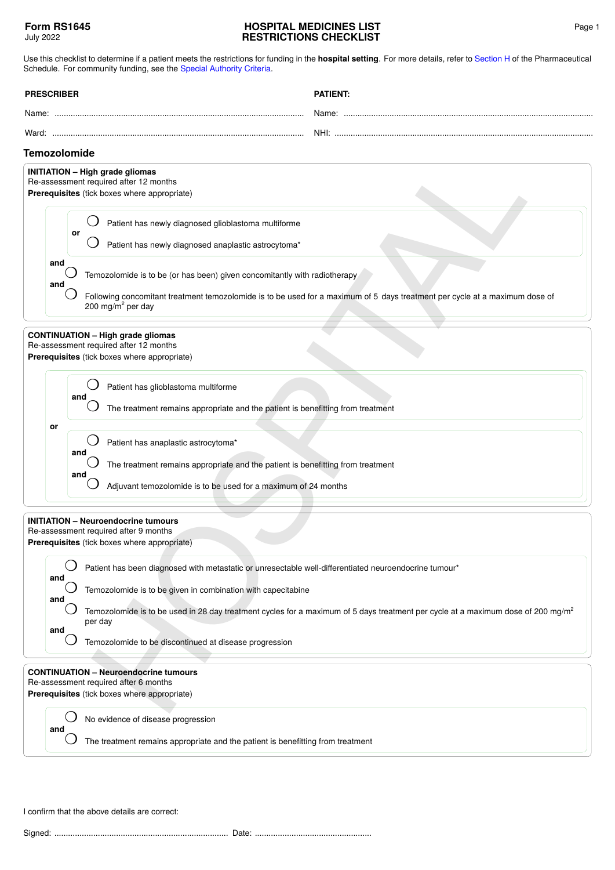## **HOSPITAL MEDICINES LIST RESTRICTIONS CHECKLIST**

Use this checklist to determine if a patient meets the restrictions for funding in the **hospital setting**. For more details, refer to [Section H](https://pharmac.govt.nz/section-h/) of the Pharmaceutical Schedule. For community funding, see the [Special Authority Criteria](https://pharmac.govt.nz/SAForms/).

| <b>PRESCRIBER</b> | <b>ATIENT</b>     |
|-------------------|-------------------|
| Name:             | Name <sup>.</sup> |
| Ward <sup>.</sup> | NHI:              |

## **Temozolomide**

| <b>Temozolomide</b>                                                                                                                                                                                                                                                                                                                                                                                |
|----------------------------------------------------------------------------------------------------------------------------------------------------------------------------------------------------------------------------------------------------------------------------------------------------------------------------------------------------------------------------------------------------|
| <b>INITIATION - High grade gliomas</b><br>Re-assessment required after 12 months<br>Prerequisites (tick boxes where appropriate)                                                                                                                                                                                                                                                                   |
| Patient has newly diagnosed glioblastoma multiforme<br>or<br>Patient has newly diagnosed anaplastic astrocytoma*                                                                                                                                                                                                                                                                                   |
| and<br>Temozolomide is to be (or has been) given concomitantly with radiotherapy<br>and<br>Following concomitant treatment temozolomide is to be used for a maximum of 5 days treatment per cycle at a maximum dose of<br>200 mg/m <sup>2</sup> per day                                                                                                                                            |
| <b>CONTINUATION - High grade gliomas</b><br>Re-assessment required after 12 months<br>Prerequisites (tick boxes where appropriate)                                                                                                                                                                                                                                                                 |
| Patient has glioblastoma multiforme<br>and<br>The treatment remains appropriate and the patient is benefitting from treatment                                                                                                                                                                                                                                                                      |
| or<br>Patient has anaplastic astrocytoma*<br>and<br>The treatment remains appropriate and the patient is benefitting from treatment<br>and<br>Adjuvant temozolomide is to be used for a maximum of 24 months                                                                                                                                                                                       |
| <b>INITIATION - Neuroendocrine tumours</b><br>Re-assessment required after 9 months<br>Prerequisites (tick boxes where appropriate)                                                                                                                                                                                                                                                                |
| Patient has been diagnosed with metastatic or unresectable well-differentiated neuroendocrine tumour*<br>and<br>Temozolomide is to be given in combination with capecitabine<br>and<br>Temozolomide is to be used in 28 day treatment cycles for a maximum of 5 days treatment per cycle at a maximum dose of 200 mg/m<br>per day<br>and<br>Temozolomide to be discontinued at disease progression |
| <b>CONTINUATION - Neuroendocrine tumours</b><br>Re-assessment required after 6 months<br>Prerequisites (tick boxes where appropriate)                                                                                                                                                                                                                                                              |
| No evidence of disease progression<br>and<br>The treatment remains appropriate and the patient is benefitting from treatment                                                                                                                                                                                                                                                                       |